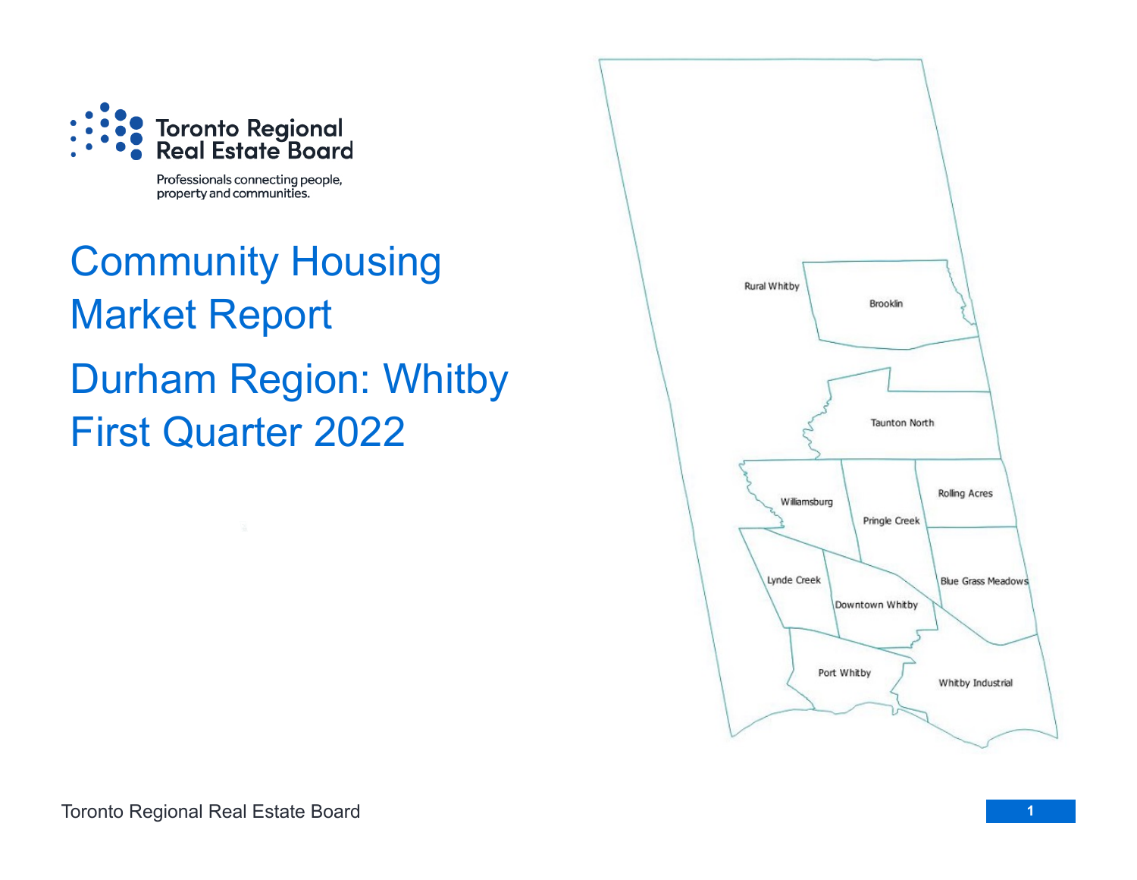

Professionals connecting people, property and communities.

# Community Housing Market Report Durham Region: Whitby First Quarter 2022

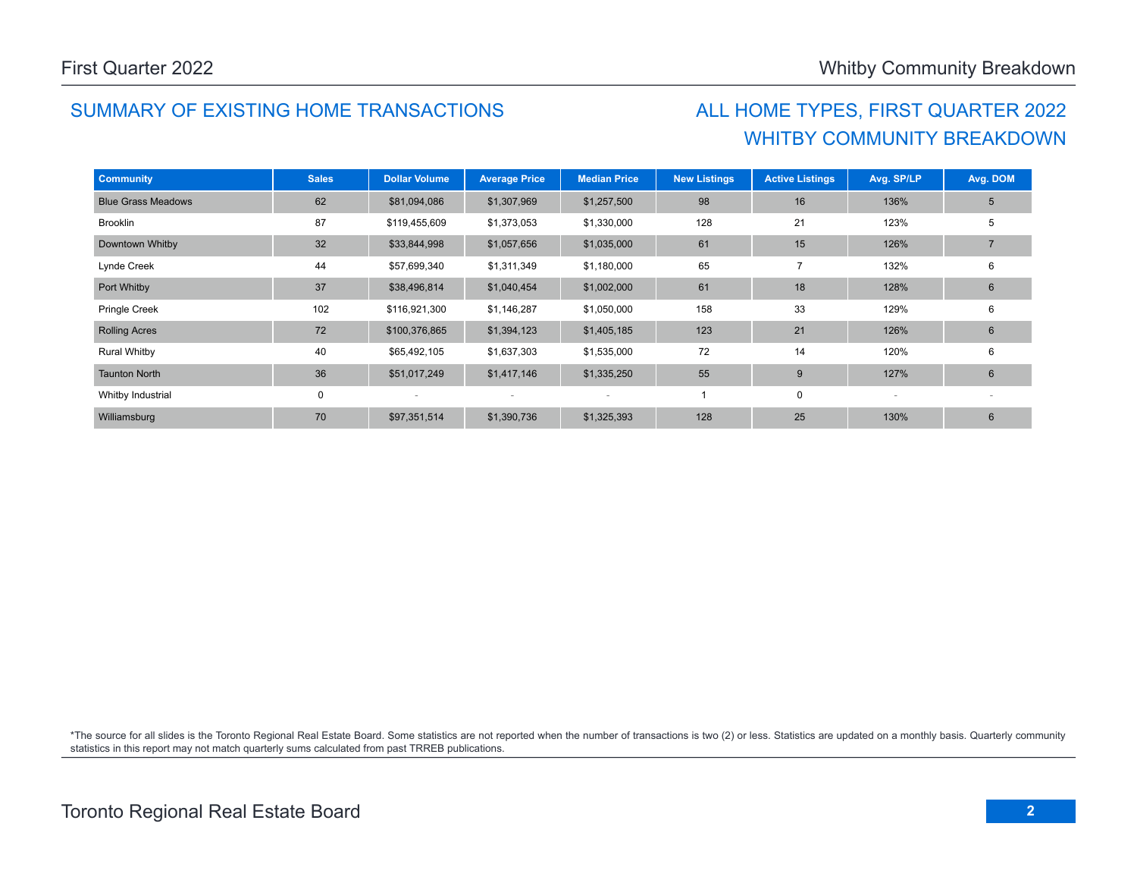### SUMMARY OF EXISTING HOME TRANSACTIONS ALL HOME TYPES, FIRST QUARTER 2022

## WHITBY COMMUNITY BREAKDOWN

| <b>Community</b>          | <b>Sales</b> | <b>Dollar Volume</b> | <b>Average Price</b> | <b>Median Price</b> | <b>New Listings</b> | <b>Active Listings</b> | Avg. SP/LP | Avg. DOM       |
|---------------------------|--------------|----------------------|----------------------|---------------------|---------------------|------------------------|------------|----------------|
| <b>Blue Grass Meadows</b> | 62           | \$81,094,086         | \$1,307,969          | \$1,257,500         | 98                  | 16                     | 136%       | 5              |
| <b>Brooklin</b>           | 87           | \$119,455,609        | \$1,373,053          | \$1,330,000         | 128                 | 21                     | 123%       | 5              |
| Downtown Whitby           | 32           | \$33,844,998         | \$1,057,656          | \$1,035,000         | 61                  | 15                     | 126%       |                |
| Lynde Creek               | 44           | \$57,699,340         | \$1,311,349          | \$1,180,000         | 65                  | 7                      | 132%       | 6              |
| Port Whitby               | 37           | \$38,496,814         | \$1,040,454          | \$1,002,000         | 61                  | 18                     | 128%       | $6\phantom{1}$ |
| Pringle Creek             | 102          | \$116,921,300        | \$1,146,287          | \$1,050,000         | 158                 | 33                     | 129%       | 6              |
| <b>Rolling Acres</b>      | 72           | \$100,376,865        | \$1,394,123          | \$1,405,185         | 123                 | 21                     | 126%       | 6              |
| <b>Rural Whitby</b>       | 40           | \$65,492,105         | \$1,637,303          | \$1,535,000         | 72                  | 14                     | 120%       | 6              |
| <b>Taunton North</b>      | 36           | \$51,017,249         | \$1,417,146          | \$1,335,250         | 55                  | 9                      | 127%       | 6              |
| Whitby Industrial         | 0            |                      |                      |                     |                     | 0                      |            |                |
| Williamsburg              | 70           | \$97,351,514         | \$1,390,736          | \$1,325,393         | 128                 | 25                     | 130%       | 6              |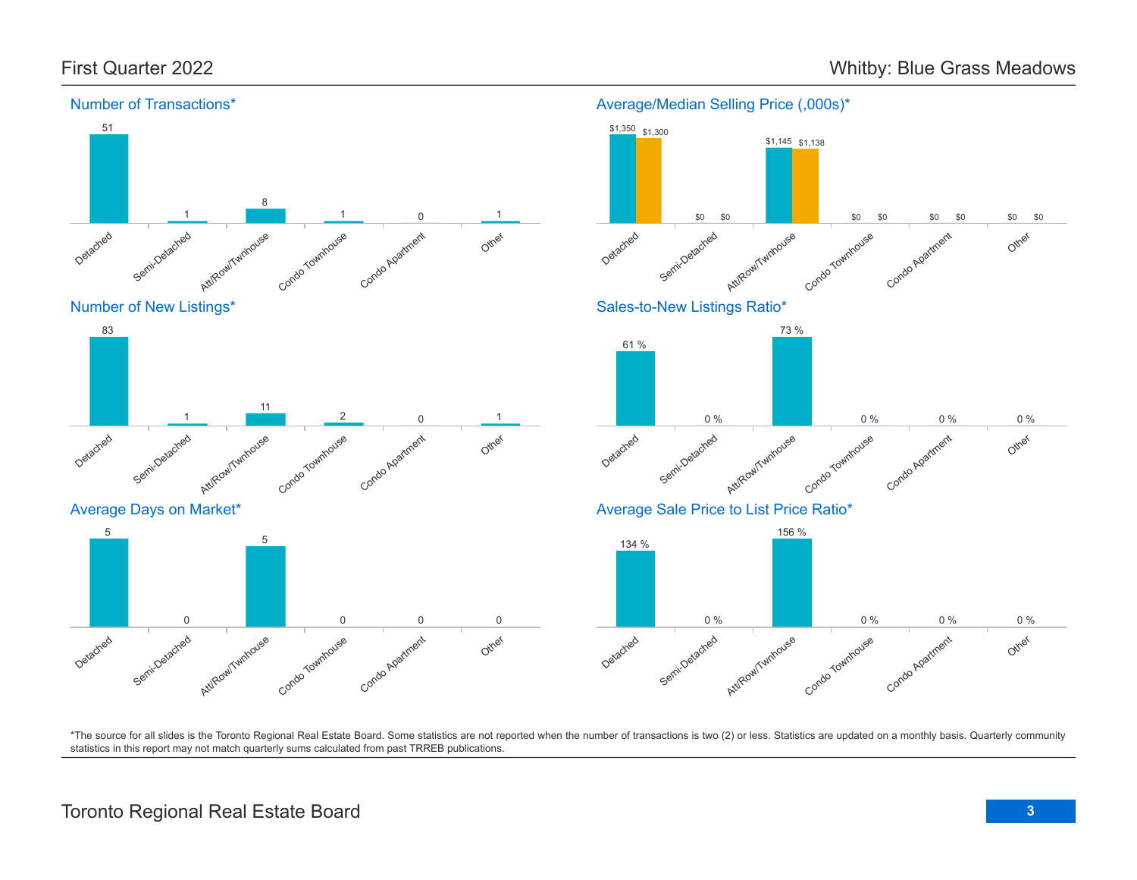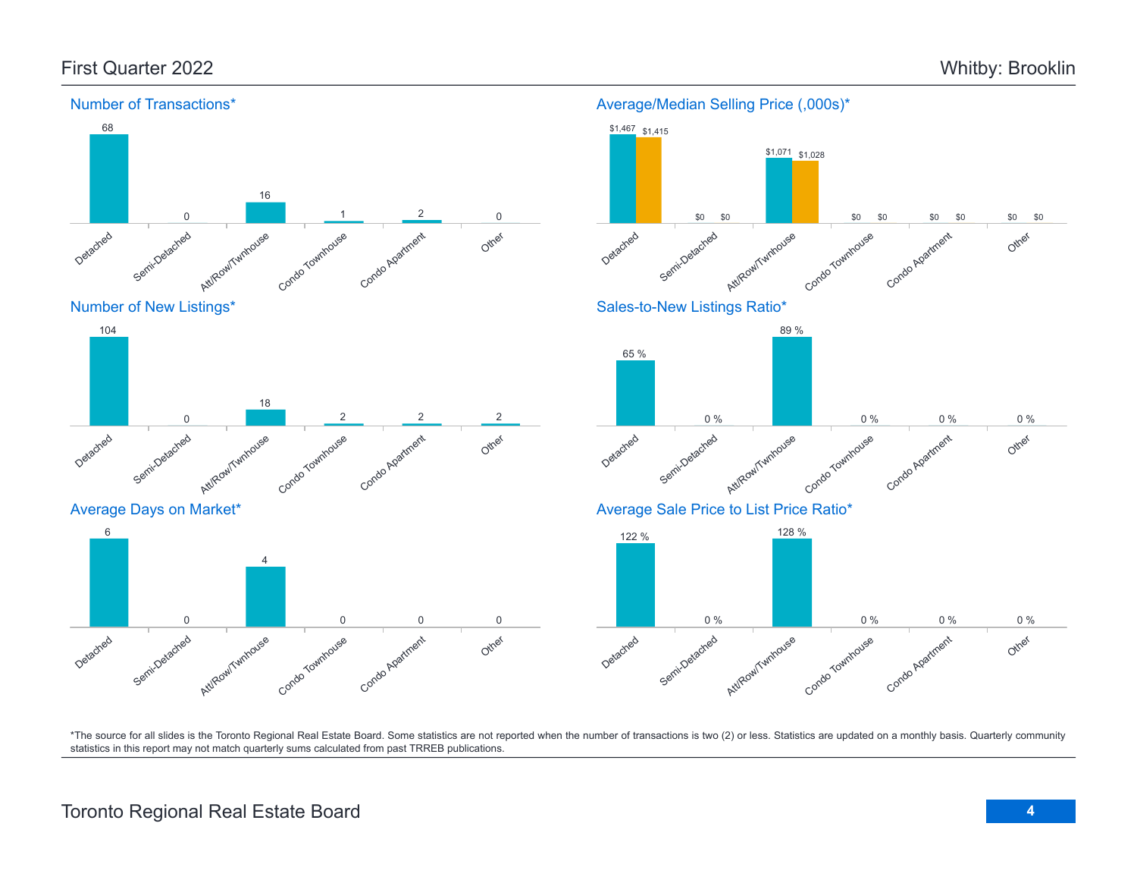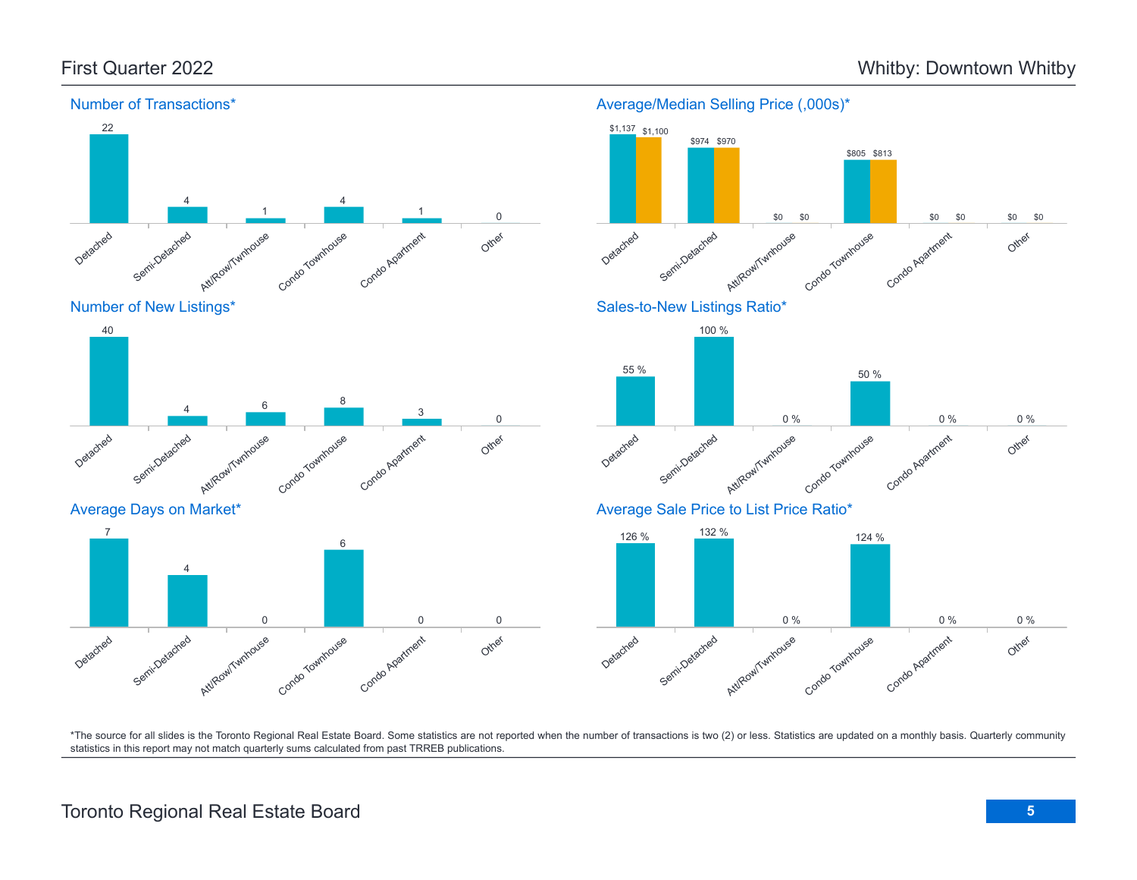



Average Days on Market\*





\*The source for all slides is the Toronto Regional Real Estate Board. Some statistics are not reported when the number of transactions is two (2) or less. Statistics are updated on a monthly basis. Quarterly community statistics in this report may not match quarterly sums calculated from past TRREB publications.

## Toronto Regional Real Estate Board **5**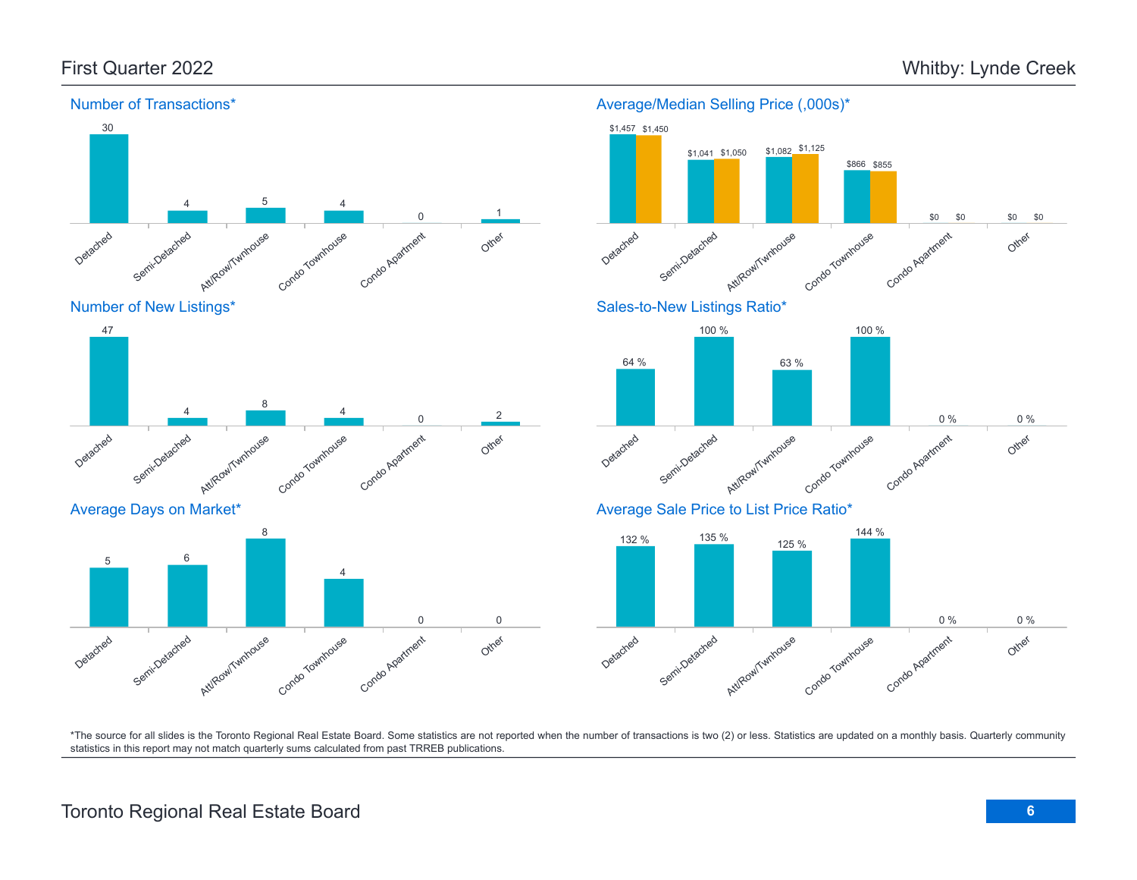

#### Number of Transactions\*

Average/Median Selling Price (,000s)\*



\*The source for all slides is the Toronto Regional Real Estate Board. Some statistics are not reported when the number of transactions is two (2) or less. Statistics are updated on a monthly basis. Quarterly community statistics in this report may not match quarterly sums calculated from past TRREB publications.

Other

Detached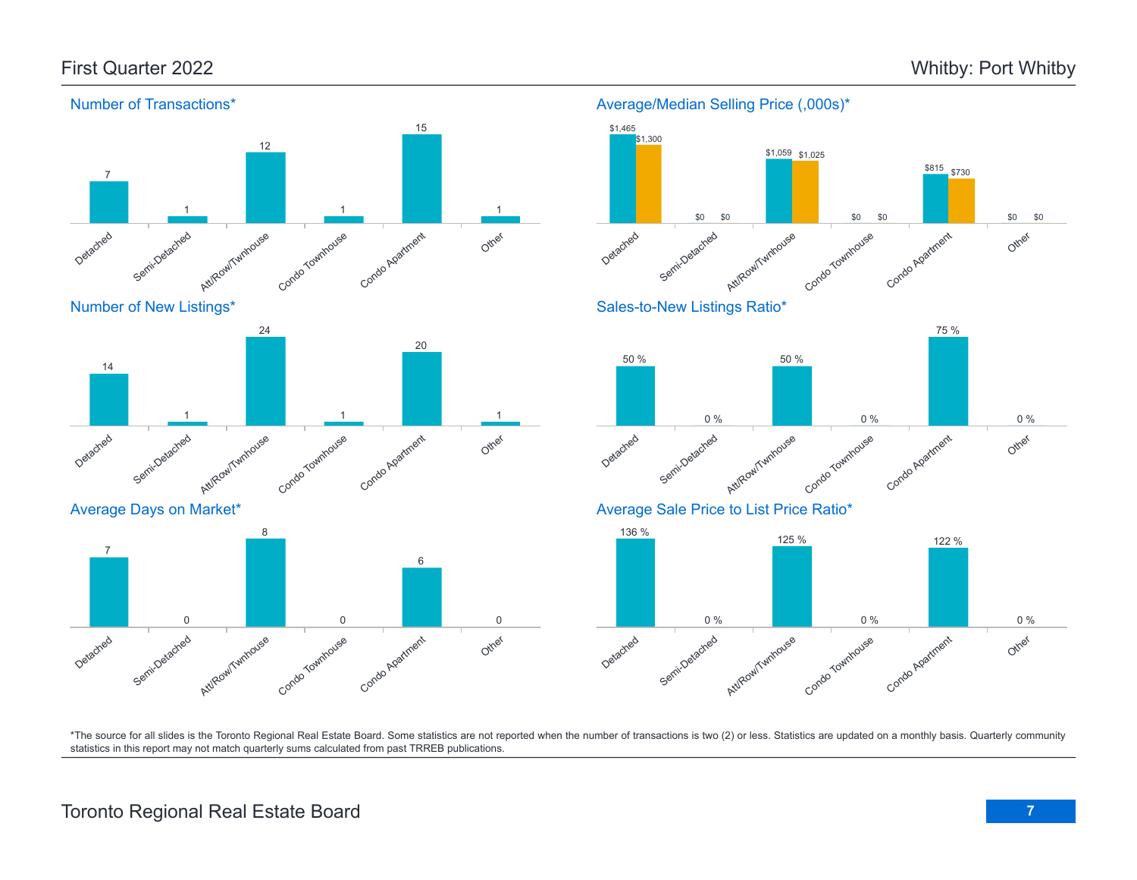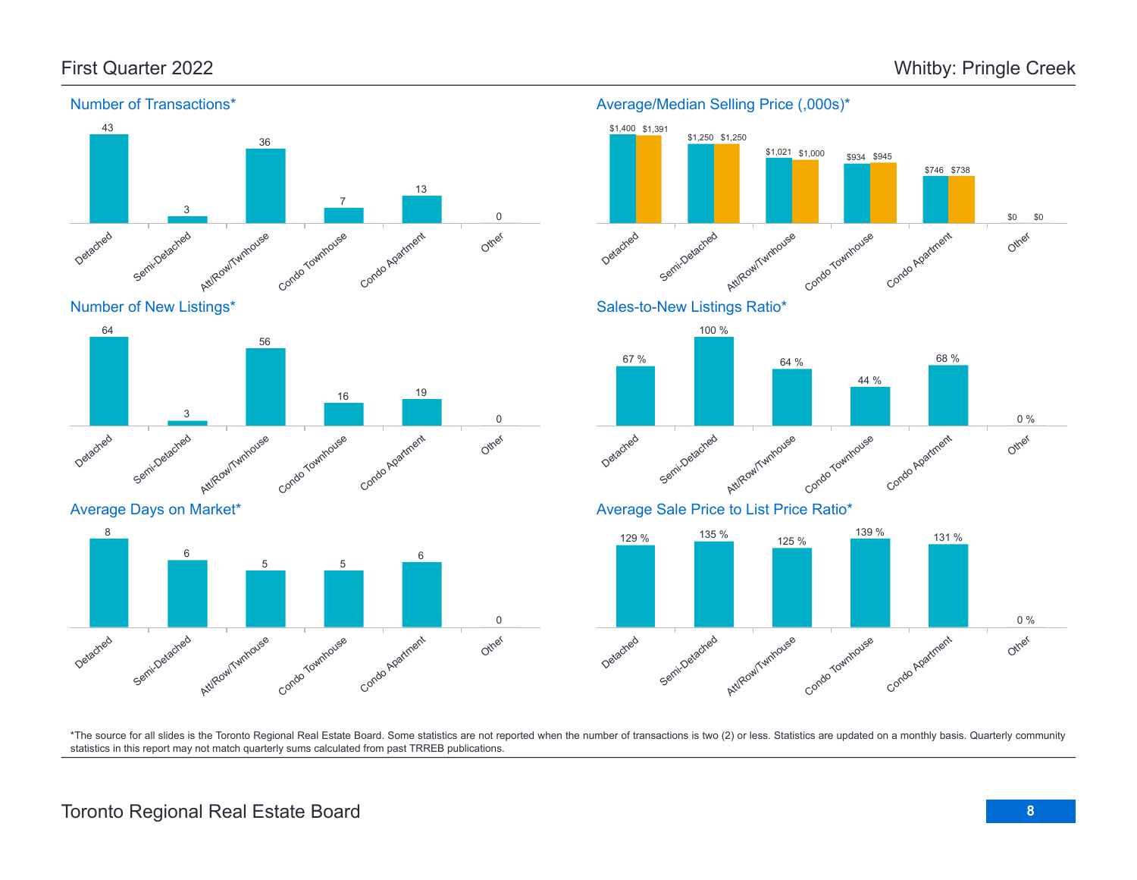

Number of New Listings\*



Average Days on Market\*



#### Detached Semi-Detached Att/Row/Twnhouse riv. Condo Townhouse Condo Apartment Other \$1,400 \$1,391 \$1,250 \$1,250  $$1,021$  \$1,000 \$1,000 \$934 \$945 \$746 \$738 \$0 \$0 Sales-to-New Listings Ratio\* Detached Semi-Detached Att/Row/Twnhouse Condo Townhouse Condo Agatment Other 67 % 100 % 64 % 44 % 68 % 0 % Average Sale Price to List Price Ratio\* 129 % 135 % 125 % <sup>139</sup> % <sup>131</sup> % 0 %

Average/Median Selling Price (,000s)\*

Detached Semi-Detached Att/Row/Twnhouse Condo Townhouse Condo Agatment Other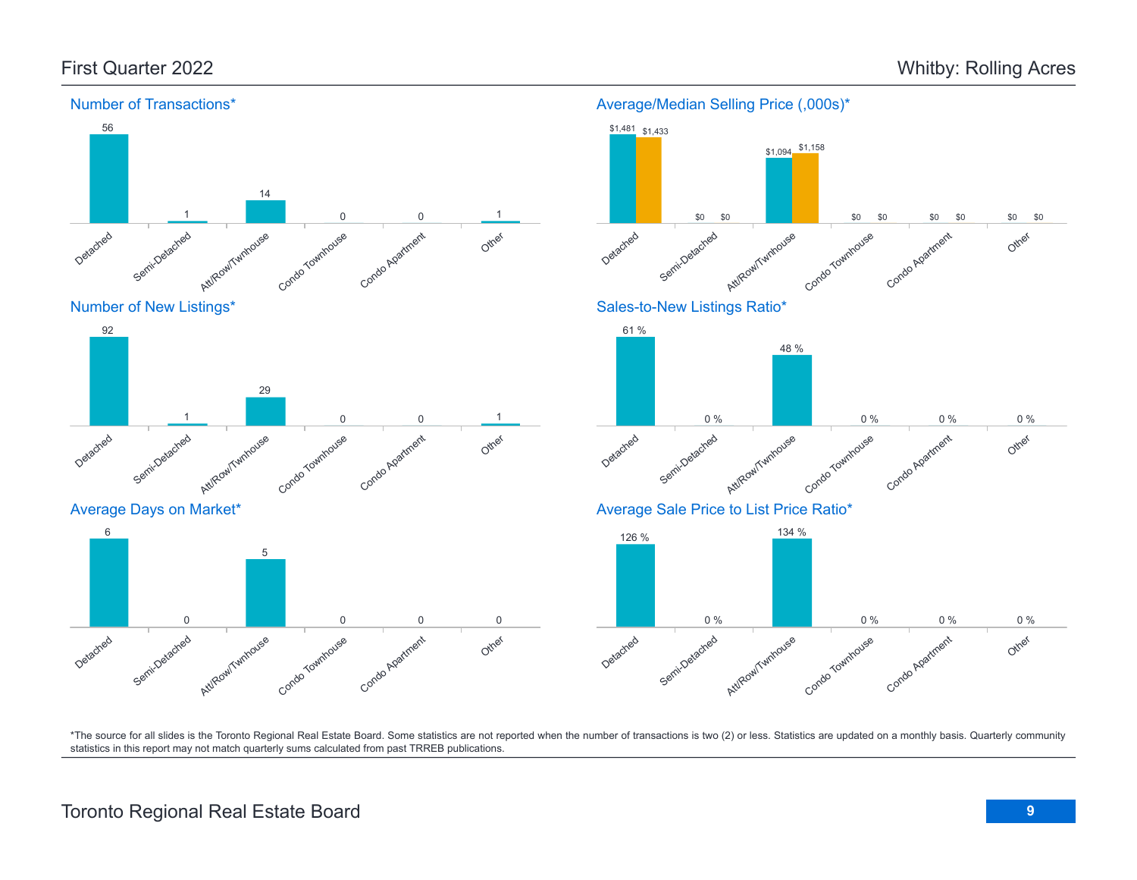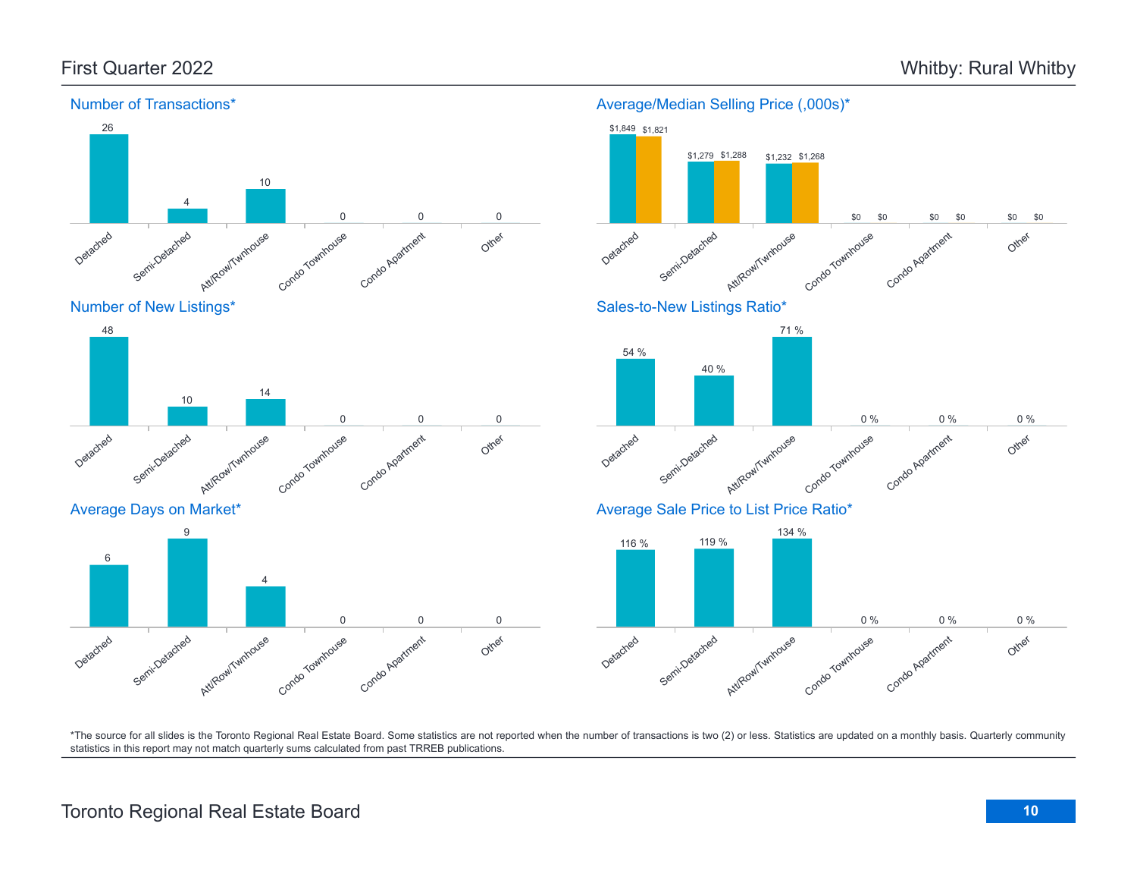Other

Other

Other

Condo Apartment

Condo Apartment

Condo Apartment

0 % 0 % 0 %

0 % 0 % 0 %

\$0 \$0 \$0

\$0 \$0 \$0 \$0 \$0



#### Number of Transactions\*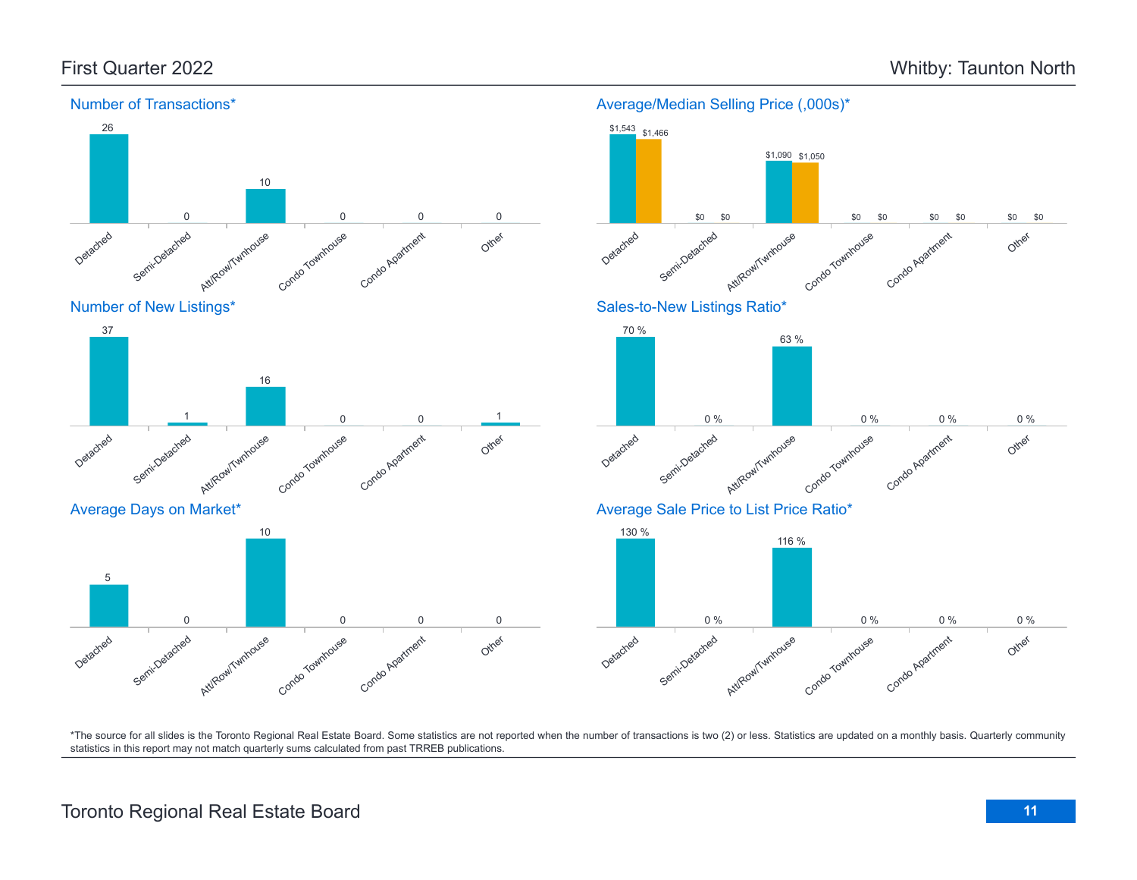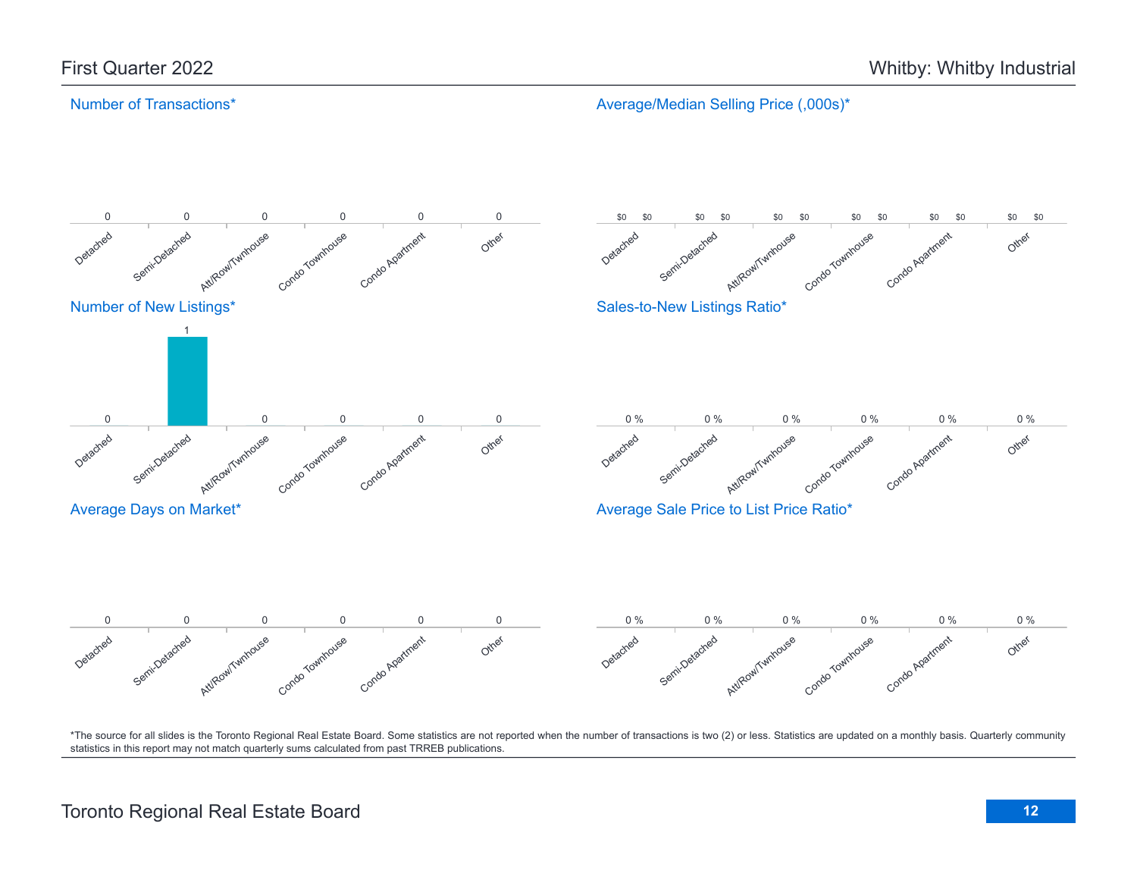#### Number of Transactions\*

Average/Median Selling Price (,000s)\*